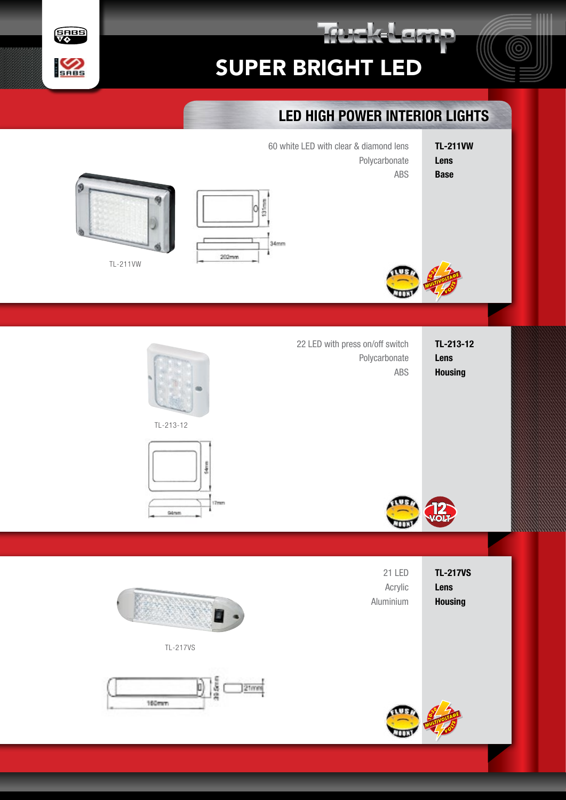



## LED HIGH POWER INTERIOR LIGHTS

rakatam

- TL-211VW Lens Base
- 60 white LED with clear & diamond lens Polycarbonate ABS





TL-211VW



TL-213-12 Lens **Housing** 22 LED with press on/off switch Polycarbonate ABS













17mm

TL-213-12

**Silmm** 

TL-217VS

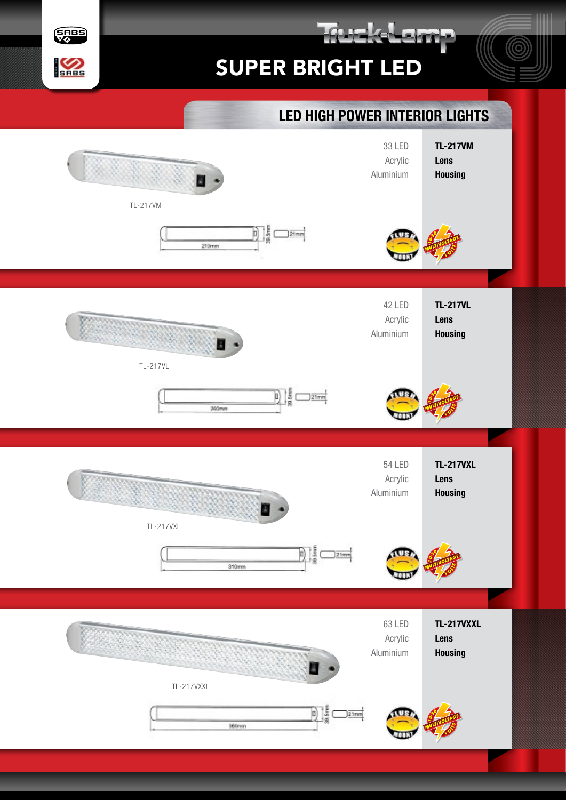## SUPER BRIGHT LED

rakatan



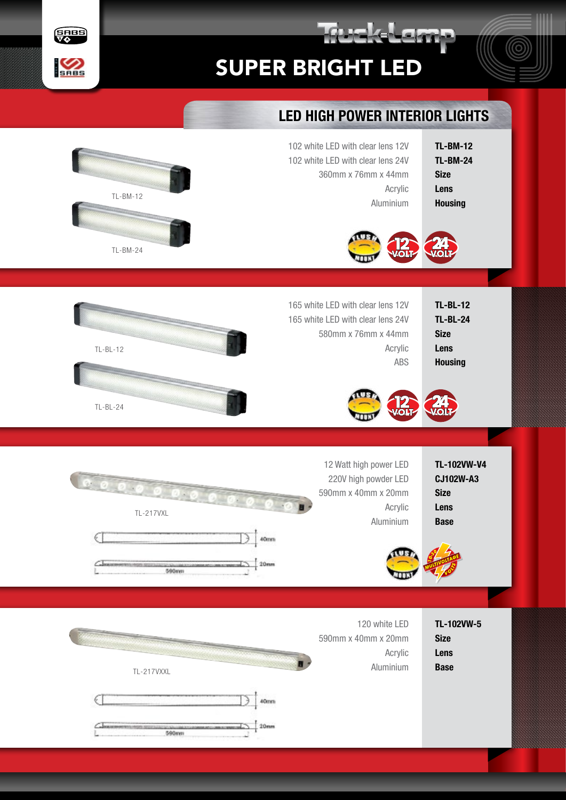

rak Lem